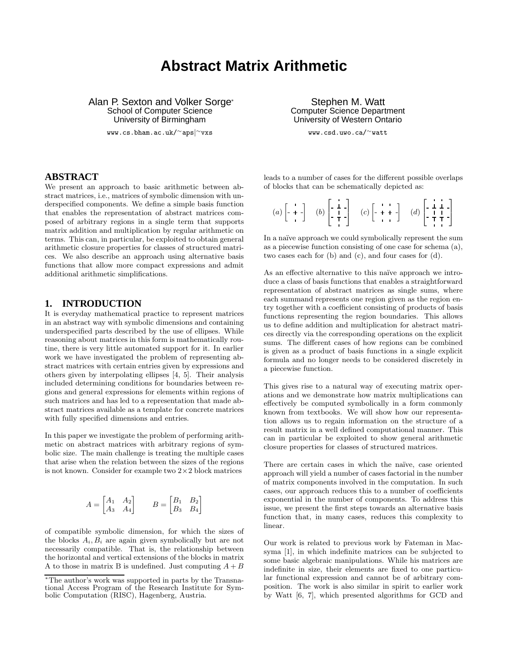# **Abstract Matrix Arithmetic**

Alan P. Sexton and Volker Sorge<sup>∗</sup> School of Computer Science University of Birmingham

www.cs.bham.ac.uk/∼aps|<sup>∼</sup>vxs

#### **ABSTRACT**

We present an approach to basic arithmetic between abstract matrices, i.e., matrices of symbolic dimension with underspecified components. We define a simple basis function that enables the representation of abstract matrices composed of arbitrary regions in a single term that supports matrix addition and multiplication by regular arithmetic on terms. This can, in particular, be exploited to obtain general arithmetic closure properties for classes of structured matrices. We also describe an approach using alternative basis functions that allow more compact expressions and admit additional arithmetic simplifications.

# **1. INTRODUCTION**

It is everyday mathematical practice to represent matrices in an abstract way with symbolic dimensions and containing underspecified parts described by the use of ellipses. While reasoning about matrices in this form is mathematically routine, there is very little automated support for it. In earlier work we have investigated the problem of representing abstract matrices with certain entries given by expressions and others given by interpolating ellipses [4, 5]. Their analysis included determining conditions for boundaries between regions and general expressions for elements within regions of such matrices and has led to a representation that made abstract matrices available as a template for concrete matrices with fully specified dimensions and entries.

In this paper we investigate the problem of performing arithmetic on abstract matrices with arbitrary regions of symbolic size. The main challenge is treating the multiple cases that arise when the relation between the sizes of the regions is not known. Consider for example two  $2\times 2$  block matrices

$$
A = \begin{bmatrix} A_1 & A_2 \\ A_3 & A_4 \end{bmatrix} \qquad B = \begin{bmatrix} B_1 & B_2 \\ B_3 & B_4 \end{bmatrix}
$$

of compatible symbolic dimension, for which the sizes of the blocks  $A_i, B_i$  are again given symbolically but are not necessarily compatible. That is, the relationship between the horizontal and vertical extensions of the blocks in matrix A to those in matrix B is undefined. Just computing  $A + B$ 

Stephen M. Watt Computer Science Department University of Western Ontario

www.csd.uwo.ca/∼watt

leads to a number of cases for the different possible overlaps of blocks that can be schematically depicted as:

| (a) $\left[ \begin{array}{c} + \\ + \end{array} \right]$ (b) $\left[ \begin{array}{c} 1 \\ 1 \\ 1 \end{array} \right]$ (c) $\left[ \begin{array}{c} + \\ + \end{array} \right]$ (d) $\left[ \begin{array}{c} 1 \\ 1 \\ 1 \end{array} \right]$ |  |  |  |  |  |
|-----------------------------------------------------------------------------------------------------------------------------------------------------------------------------------------------------------------------------------------------|--|--|--|--|--|
|-----------------------------------------------------------------------------------------------------------------------------------------------------------------------------------------------------------------------------------------------|--|--|--|--|--|

In a naïve approach we could symbolically represent the sum as a piecewise function consisting of one case for schema (a), two cases each for (b) and (c), and four cases for (d).

As an effective alternative to this naïve approach we introduce a class of basis functions that enables a straightforward representation of abstract matrices as single sums, where each summand represents one region given as the region entry together with a coefficient consisting of products of basis functions representing the region boundaries. This allows us to define addition and multiplication for abstract matrices directly via the corresponding operations on the explicit sums. The different cases of how regions can be combined is given as a product of basis functions in a single explicit formula and no longer needs to be considered discretely in a piecewise function.

This gives rise to a natural way of executing matrix operations and we demonstrate how matrix multiplications can effectively be computed symbolically in a form commonly known from textbooks. We will show how our representation allows us to regain information on the structure of a result matrix in a well defined computational manner. This can in particular be exploited to show general arithmetic closure properties for classes of structured matrices.

There are certain cases in which the naïve, case oriented approach will yield a number of cases factorial in the number of matrix components involved in the computation. In such cases, our approach reduces this to a number of coefficients exponential in the number of components. To address this issue, we present the first steps towards an alternative basis function that, in many cases, reduces this complexity to linear.

Our work is related to previous work by Fateman in Macsyma [1], in which indefinite matrices can be subjected to some basic algebraic manipulations. While his matrices are indefinite in size, their elements are fixed to one particular functional expression and cannot be of arbitrary composition. The work is also similar in spirit to earlier work by Watt [6, 7], which presented algorithms for GCD and

<sup>∗</sup>The author's work was supported in parts by the Transnational Access Program of the Research Institute for Symbolic Computation (RISC), Hagenberg, Austria.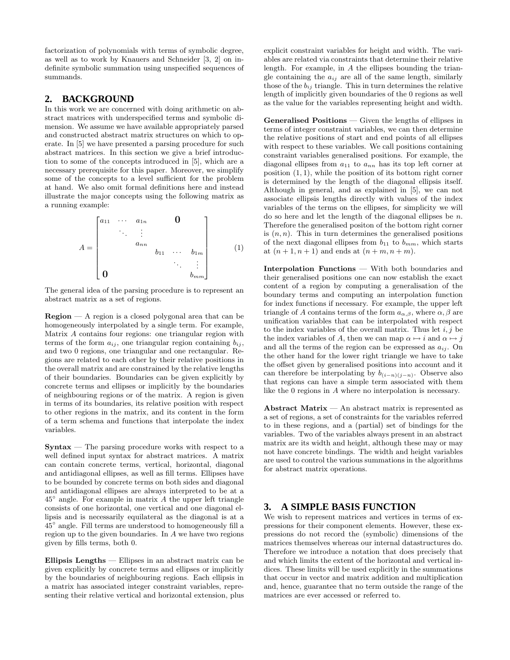factorization of polynomials with terms of symbolic degree, as well as to work by Knauers and Schneider [3, 2] on indefinite symbolic summation using unspecified sequences of summands.

#### **2. BACKGROUND**

In this work we are concerned with doing arithmetic on abstract matrices with underspecified terms and symbolic dimension. We assume we have available appropriately parsed and constructed abstract matrix structures on which to operate. In [5] we have presented a parsing procedure for such abstract matrices. In this section we give a brief introduction to some of the concepts introduced in [5], which are a necessary prerequisite for this paper. Moreover, we simplify some of the concepts to a level sufficient for the problem at hand. We also omit formal definitions here and instead illustrate the major concepts using the following matrix as a running example:

$$
A = \begin{bmatrix} a_{11} & \cdots & a_{1n} & & \mathbf{0} \\ & \ddots & \vdots & & \\ & & a_{nn} & & \\ & & & b_{11} & \cdots & b_{1m} \\ \mathbf{0} & & & & \ddots & \vdots \\ \mathbf{0} & & & & b_{mm} \end{bmatrix}
$$
 (1)

The general idea of the parsing procedure is to represent an abstract matrix as a set of regions.

**Region** — A region is a closed polygonal area that can be homogeneously interpolated by a single term. For example, Matrix A contains four regions: one triangular region with terms of the form  $a_{ij}$ , one triangular region containing  $b_{ij}$ , and two 0 regions, one triangular and one rectangular. Regions are related to each other by their relative positions in the overall matrix and are constrained by the relative lengths of their boundaries. Boundaries can be given explicitly by concrete terms and ellipses or implicitly by the boundaries of neighbouring regions or of the matrix. A region is given in terms of its boundaries, its relative position with respect to other regions in the matrix, and its content in the form of a term schema and functions that interpolate the index variables.

**Syntax** — The parsing procedure works with respect to a well defined input syntax for abstract matrices. A matrix can contain concrete terms, vertical, horizontal, diagonal and antidiagonal ellipses, as well as fill terms. Ellipses have to be bounded by concrete terms on both sides and diagonal and antidiagonal ellipses are always interpreted to be at a  $45^\circ$  angle. For example in matrix A the upper left triangle consists of one horizontal, one vertical and one diagonal ellipsis and is necessarily equilateral as the diagonal is at a 45◦ angle. Fill terms are understood to homogeneously fill a region up to the given boundaries. In A we have two regions given by fills terms, both 0.

**Ellipsis Lengths** — Ellipses in an abstract matrix can be given explicitly by concrete terms and ellipses or implicitly by the boundaries of neighbouring regions. Each ellipsis in a matrix has associated integer constraint variables, representing their relative vertical and horizontal extension, plus

explicit constraint variables for height and width. The variables are related via constraints that determine their relative length. For example, in A the ellipses bounding the triangle containing the  $a_{ij}$  are all of the same length, similarly those of the  $b_{ij}$  triangle. This in turn determines the relative length of implicitly given boundaries of the 0 regions as well as the value for the variables representing height and width.

**Generalised Positions** — Given the lengths of ellipses in terms of integer constraint variables, we can then determine the relative positions of start and end points of all ellipses with respect to these variables. We call positions containing constraint variables generalised positions. For example, the diagonal ellipses from  $a_{11}$  to  $a_{nn}$  has its top left corner at position  $(1, 1)$ , while the position of its bottom right corner is determined by the length of the diagonal ellipsis itself. Although in general, and as explained in [5], we can not associate ellipsis lengths directly with values of the index variables of the terms on the ellipses, for simplicity we will do so here and let the length of the diagonal ellipses be  $n$ . Therefore the generalised positon of the bottom right corner is  $(n, n)$ . This in turn determines the generalised positions of the next diagonal ellipses from  $b_{11}$  to  $b_{mm}$ , which starts at  $(n + 1, n + 1)$  and ends at  $(n + m, n + m)$ .

**Interpolation Functions** — With both boundaries and their generalised positions one can now establish the exact content of a region by computing a generalisation of the boundary terms and computing an interpolation function for index functions if necessary. For example, the upper left triangle of A contains terms of the form  $a_{\alpha,\beta}$ , where  $\alpha,\beta$  are unification variables that can be interpolated with respect to the index variables of the overall matrix. Thus let  $i, j$  be the index variables of A, then we can map  $\alpha \mapsto i$  and  $\alpha \mapsto j$ and all the terms of the region can be expressed as  $a_{ij}$ . On the other hand for the lower right triangle we have to take the offset given by generalised positions into account and it can therefore be interpolating by  $b_{(i-n)(j-n)}$ . Observe also that regions can have a simple term associated with them like the 0 regions in A where no interpolation is necessary.

**Abstract Matrix** — An abstract matrix is represented as a set of regions, a set of constraints for the variables referred to in these regions, and a (partial) set of bindings for the variables. Two of the variables always present in an abstract matrix are its width and height, although these may or may not have concrete bindings. The width and height variables are used to control the various summations in the algorithms for abstract matrix operations.

#### **3. A SIMPLE BASIS FUNCTION**

We wish to represent matrices and vertices in terms of expressions for their component elements. However, these expressions do not record the (symbolic) dimensions of the matrices themselves whereas our internal datastructures do. Therefore we introduce a notation that does precisely that and which limits the extent of the horizontal and vertical indices. These limits will be used explicitly in the summations that occur in vector and matrix addition and multiplication and, hence, guarantee that no term outside the range of the matrices are ever accessed or referred to.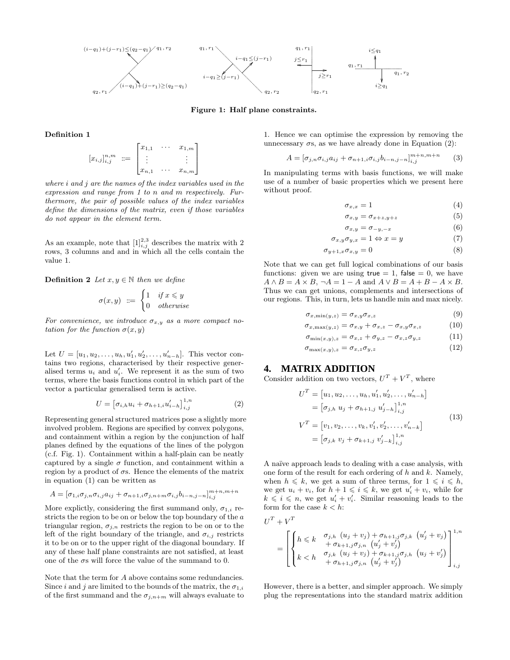

**Figure 1: Half plane constraints.**

#### **Definition 1**

$$
[x_{i,j}]_{i,j}^{n,m} := \begin{bmatrix} x_{1,1} & \cdots & x_{1,m} \\ \vdots & & \vdots \\ x_{n,1} & \cdots & x_{n,m} \end{bmatrix}
$$

*where* i *and* j *are the names of the index variables used in the expression and range from 1 to* n *and* m *respectively. Furthermore, the pair of possible values of the index variables define the dimensions of the matrix, even if those variables do not appear in the element term.*

As an example, note that  $[1]_{i,j}^{2,3}$  describes the matrix with 2 rows, 3 columns and and in which all the cells contain the value 1.

**Definition 2** *Let*  $x, y \in \mathbb{N}$  *then we define* 

$$
\sigma(x,y) \ ::= \ \begin{cases} 1 & \text{if } x \leq y \\ 0 & \text{otherwise} \end{cases}
$$

*For convenience, we introduce*  $\sigma_{x,y}$  *as a more compact notation for the function*  $\sigma(x, y)$ 

Let  $U = [u_1, u_2, \dots, u_h, u'_1, u'_2, \dots, u'_{n-h}]$ . This vector contains two regions, characterised by their respective generalised terms  $u_i$  and  $u'_i$ . We represent it as the sum of two terms, where the basis functions control in which part of the vector a particular generalised term is active.

$$
U = \left[ \sigma_{i,h} u_i + \sigma_{h+1,i} u'_{i-h} \right]_{i,j}^{1,n} \tag{2}
$$

Representing general structured matrices pose a slightly more involved problem. Regions are specified by convex polygons, and containment within a region by the conjunction of half planes defined by the equations of the lines of the polygon (c.f. Fig. 1). Containment within a half-plain can be neatly captured by a single  $\sigma$  function, and containment within a region by a product of  $\sigma s$ . Hence the elements of the matrix in equation (1) can be written as

$$
A = [\sigma_{1,i}\sigma_{j,n}\sigma_{i,j}a_{ij} + \sigma_{n+1,i}\sigma_{j,n+m}\sigma_{i,j}b_{i-n,j-n}]_{i,j}^{m+n,m+n}
$$

More explictly, considering the first summand only,  $\sigma_{1,i}$  restricts the region to be on or below the top boundary of the a triangular region,  $\sigma_{j,n}$  restricts the region to be on or to the left of the right boundary of the triangle, and  $\sigma_{i,j}$  restricts it to be on or to the upper right of the diagonal boundary. If any of these half plane constraints are not satisfied, at least one of the  $\sigma s$  will force the value of the summand to 0.

Note that the term for A above contains some redundancies. Since i and j are limited to the bounds of the matrix, the  $\sigma_{1,i}$ of the first summand and the  $\sigma_{j,n+m}$  will always evaluate to 1. Hence we can optimise the expression by removing the unnecessary  $\sigma s$ , as we have already done in Equation (2):

$$
A = [\sigma_{j,n}\sigma_{i,j}a_{ij} + \sigma_{n+1,i}\sigma_{i,j}b_{i-n,j-n}]_{i,j}^{m+n,m+n}
$$
 (3)

In manipulating terms with basis functions, we will make use of a number of basic properties which we present here without proof.

$$
\sigma_{x,x} = 1 \tag{4}
$$

$$
\sigma_{x,y} = \sigma_{x+z,y+z} \tag{5}
$$

$$
\sigma_{x,y} = \sigma_{-y,-x} \tag{6}
$$

$$
\sigma_{x,y}\sigma_{y,x} = 1 \Leftrightarrow x = y \tag{7}
$$

$$
\sigma_{y+1,x}\sigma_{x,y}=0\tag{8}
$$

Note that we can get full logical combinations of our basis functions: given we are using  $true = 1$ , false  $= 0$ , we have  $A \wedge B = A \times B$ ,  $\neg A = 1 - A$  and  $A \vee B = A + B - A \times B$ . Thus we can get unions, complements and intersections of our regions. This, in turn, lets us handle min and max nicely.

$$
\sigma_{x,\min(y,z)} = \sigma_{x,y}\sigma_{x,z} \tag{9}
$$

$$
\sigma_{x,\max(y,z)} = \sigma_{x,y} + \sigma_{x,z} - \sigma_{x,y}\sigma_{x,z} \tag{10}
$$

$$
\sigma_{\min(x,y),z} = \sigma_{x,z} + \sigma_{y,z} - \sigma_{x,z}\sigma_{y,z} \tag{11}
$$

$$
\sigma_{\max(x,y),z} = \sigma_{x,z}\sigma_{y,z} \tag{12}
$$

#### **4. MATRIX ADDITION**

Consider addition on two vectors,  $U^T + V^T$ , where

$$
UT = [u1, u2,..., uh, u'1, u'2,..., u'n-h]= [\sigmaj,h uj + \sigmah+1,j u'j-h]1,ni,j
$$
VT = [v1, v2,..., vk, v'1, v'2,..., v'n-k]= [\sigmaj,k vj + \sigmak+1,j v'j-k]1,ni,j
$$
(13)
$$

A naïve approach leads to dealing with a case analysis, with one form of the result for each ordering of  $h$  and  $k$ . Namely, when  $h \leq k$ , we get a sum of three terms, for  $1 \leq i \leq h$ , we get  $u_i + v_i$ , for  $h + 1 \leqslant i \leqslant k$ , we get  $u'_i + v_i$ , while for  $k \leq i \leq n$ , we get  $u'_i + v'_i$ . Similar reasoning leads to the form for the case  $k < h$ :

$$
U^{T} + V^{T}
$$
\n
$$
= \begin{bmatrix}\n h \leq k & \sigma_{j,h} & (u_{j} + v_{j}) + \sigma_{h+1,j}\sigma_{j,k} & (u'_{j} + v_{j}) \\
+ \sigma_{k+1,j}\sigma_{j,n} & (u'_{j} + v'_{j}) \\
k < h & \sigma_{j,k} & (u_{j} + v_{j}) + \sigma_{k+1,j}\sigma_{j,h} & (u_{j} + v'_{j}) \\
+ \sigma_{h+1,j}\sigma_{j,n} & (u'_{j} + v'_{j})\n \end{bmatrix}_{i,j}^{1,n}
$$

However, there is a better, and simpler approach. We simply plug the representations into the standard matrix addition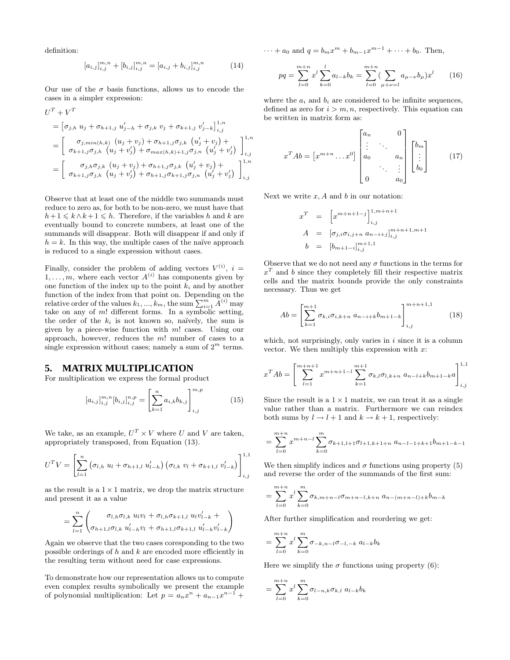definition:

$$
[a_{i,j}]_{i,j}^{m,n} + [b_{i,j}]_{i,j}^{m,n} = [a_{i,j} + b_{i,j}]_{i,j}^{m,n}
$$
 (14)

Our use of the  $\sigma$  basis functions, allows us to encode the cases in a simpler expression:

$$
U^{T} + V^{T}
$$
\n
$$
= [\sigma_{j,h} u_{j} + \sigma_{h+1,j} u'_{j-h} + \sigma_{j,k} v_{j} + \sigma_{k+1,j} v'_{j-k}]_{i,j}^{1,n}
$$
\n
$$
= \begin{bmatrix}\n\sigma_{j,min(h,k)} (u_{j} + v_{j}) + \sigma_{h+1,j}\sigma_{j,k} (u'_{j} + v_{j}) + \sigma_{k+1,j}\sigma_{j,h} (u'_{j} + v'_{j})\n\end{bmatrix}_{i,j}^{1,n}
$$
\n
$$
= \begin{bmatrix}\n\sigma_{j,h}\sigma_{j,k} (u_{j} + v'_{j}) + \sigma_{h+1,j}\sigma_{j,k} (u'_{j} + v'_{j}) + \sigma_{k+1,j}\sigma_{j,h} (u'_{j} + v'_{j})\n\end{bmatrix}_{i,j}^{1,n}
$$

Observe that at least one of the middle two summands must reduce to zero as, for both to be non-zero, we must have that  $h+1 \leq k \wedge k+1 \leq h$ . Therefore, if the variables h and k are eventually bound to concrete numbers, at least one of the summands will disappear. Both will disappear if and only if  $h = k$ . In this way, the multiple cases of the naïve approach is reduced to a single expression without cases.

Finally, consider the problem of adding vectors  $V^{(i)}$ ,  $i =$  $1, \ldots, m$ , where each vector  $A^{(i)}$  has components given by one function of the index up to the point  $k_i$  and by another function of the index from that point on. Depending on the relative order of the values  $k_1, ..., k_m$ , the sum  $\sum_{i=1}^{m} \tilde{A}^{(i)}$  may take on any of  $m!$  different forms. In a symbolic setting, the order of the  $k_i$  is not known so, naïvely, the sum is given by a piece-wise function with  $m!$  cases. Using our approach, however, reduces the m! number of cases to a single expression without cases; namely a sum of  $2^m$  terms.

#### **5. MATRIX MULTIPLICATION**

For multiplication we express the formal product

$$
[a_{i,j}]_{i,j}^{m,n}[b_{i,j}]_{i,j}^{n,p} = \left[\sum_{k=1}^{n} a_{i,k} b_{k,j}\right]_{i,j}^{m,p}
$$
(15)

We take, as an example,  $U^T \times V$  where U and V are taken, appropriately transposed, from Equation (13).

$$
U^{T}V = \left[\sum_{l=1}^{n} \left(\sigma_{l,h} u_{l} + \sigma_{h+1,l} u'_{l-h}\right) \left(\sigma_{l,k} v_{l} + \sigma_{k+1,l} v'_{l-k}\right)\right]_{i,j}^{1,1}
$$

as the result is a  $1 \times 1$  matrix, we drop the matrix structure and present it as a value

$$
= \sum_{l=1}^{n} \left( \frac{\sigma_{l,h}\sigma_{l,k} u_l v_l + \sigma_{l,h}\sigma_{k+1,l} u_l v'_{l-k} + \\ \sigma_{h+1,l}\sigma_{l,k} u'_{l-h} v_l + \sigma_{h+1,l}\sigma_{k+1,l} u'_{l-h} v'_{l-k}}{\sigma_{h+1,l}\sigma_{k+1,l} u'_{l-h} v'_{l-k}} \right)
$$

Again we observe that the two cases coresponding to the two possible orderings of  $h$  and  $k$  are encoded more efficiently in the resulting term without need for case expressions.

To demonstrate how our representation allows us to compute even complex results symbolically we present the example of polynomial multiplication: Let  $p = a_n x^n + a_{n-1} x^{n-1} +$ 

 $\cdots + a_0$  and  $q = b_m x^m + b_{m-1} x^{m-1} + \cdots + b_0$ . Then,

$$
pq = \sum_{l=0}^{m+n} x^l \sum_{k=0}^l a_{l-k} b_k = \sum_{l=0}^{m+n} \left( \sum_{\mu+\nu=l} a_{\mu-\nu} b_{\mu} \right) x^l \qquad (16)
$$

where the  $a_i$  and  $b_i$  are considered to be infinite sequences, defined as zero for  $i > m, n$ , respectively. This equation can be written in matrix form as:

$$
x^{T} A b = \begin{bmatrix} x^{m+n} \dots x^{0} \end{bmatrix} \begin{bmatrix} a_{n} & 0 \\ \vdots & \ddots & \\ a_{0} & a_{n} \\ \vdots & \ddots & \vdots \\ 0 & a_{0} \end{bmatrix} \begin{bmatrix} b_{m} \\ \vdots \\ b_{0} \end{bmatrix} \tag{17}
$$

Next we write  $x, A$  and  $b$  in our notation:

$$
x^{T} = \begin{bmatrix} x^{m+n+1-j} \end{bmatrix}_{i,j}^{1,m+n+1}
$$
  
\n
$$
A = [\sigma_{j,i}\sigma_{i,j+n} a_{n-i+j}]_{i,j}^{m+n+1,m+1}
$$
  
\n
$$
b = [b_{m+1-i}]_{i,j}^{m+1,1}
$$

Observe that we do not need any  $\sigma$  functions in the terms for  $x<sup>T</sup>$  and b since they completely fill their respective matrix cells and the matrix bounds provide the only constraints necessary. Thus we get

$$
Ab = \left[\sum_{k=1}^{m+1} \sigma_{k,i} \sigma_{i,k+n} \ a_{n-i+k} b_{m+1-k}\right]_{i,j}^{m+n+1,1}
$$
 (18)

which, not surprisingly, only varies in  $i$  since it is a column vector. We then multiply this expression with  $x$ :

$$
x^{T}Ab = \left[\sum_{l=1}^{m+n+1} x^{m+n+1-l} \sum_{k=1}^{m+1} \sigma_{k,l} \sigma_{l,k+n} a_{n-l+k} b_{m+1-k} a \right]_{i,j}^{1,1}
$$

Since the result is a  $1 \times 1$  matrix, we can treat it as a single value rather than a matrix. Furthermore we can reindex both sums by  $l \rightarrow l + 1$  and  $k \rightarrow k + 1$ , respectively:

$$
= \sum_{l=0}^{m+n} x^{m+n-l} \sum_{k=0}^{m} \sigma_{k+1,l+1} \sigma_{l+1,k+1+n} a_{n-l-1+k+1} b_{m+1-k-1}
$$

We then simplify indices and  $\sigma$  functions using property (5) and reverse the order of the summands of the first sum:

$$
= \sum_{l=0}^{m+n} x^l \sum_{k=0}^m \sigma_{k,m+n-l} \sigma_{m+n-l,k+n} a_{n-(m+n-l)+k} b_{m-k}
$$

After further simplification and reordering we get:

$$
= \sum_{l=0}^{m+n} x^l \sum_{k=0}^m \sigma_{-k,n-l} \sigma_{-l,-k} a_{l-k} b_k
$$

Here we simplify the  $\sigma$  functions using property (6):

$$
= \sum_{l=0}^{m+n} x^l \sum_{k=0}^{m} \sigma_{l-n,k} \sigma_{k,l} a_{l-k} b_k
$$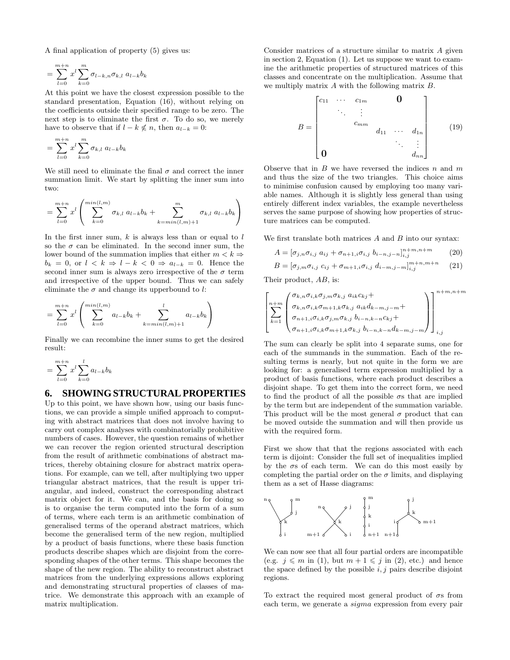A final application of property (5) gives us:

$$
= \sum_{l=0}^{m+n} x^l \sum_{k=0}^m \sigma_{l-k,n} \sigma_{k,l} \ a_{l-k} b_k
$$

At this point we have the closest expression possible to the standard presentation, Equation (16), without relying on the coefficients outside their specified range to be zero. The next step is to eliminate the first  $\sigma$ . To do so, we merely have to observe that if  $l - k \nleq n$ , then  $a_{l-k} = 0$ :

$$
= \sum_{l=0}^{m+n} x^l \sum_{k=0}^m \sigma_{k,l} a_{l-k} b_k
$$

We still need to eliminate the final  $\sigma$  and correct the inner summation limit. We start by splitting the inner sum into two:

$$
= \sum_{l=0}^{m+n} x^l \left( \sum_{k=0}^{\min(l,m)} \sigma_{k,l} a_{l-k} b_k + \sum_{k=\min(l,m)+1}^{\infty} \sigma_{k,l} a_{l-k} b_k \right)
$$

In the first inner sum,  $k$  is always less than or equal to  $l$ so the  $\sigma$  can be eliminated. In the second inner sum, the lower bound of the summation implies that either  $m < k \Rightarrow$  $b_k = 0$ , or  $l \leq k \Rightarrow l - k \leq 0 \Rightarrow a_{l-k} = 0$ . Hence the second inner sum is always zero irrespective of the  $\sigma$  term and irrespective of the upper bound. Thus we can safely eliminate the  $\sigma$  and change its upperbound to l:

$$
= \sum_{l=0}^{m+n} x^l \left( \sum_{k=0}^{\min(l,m)} a_{l-k} b_k + \sum_{k=\min(l,m)+1}^l a_{l-k} b_k \right)
$$

Finally we can recombine the inner sums to get the desired result:

$$
= \sum_{l=0}^{m+n} x^l \sum_{k=0}^l a_{l-k} b_k
$$

#### **6. SHOWING STRUCTURAL PROPERTIES**

Up to this point, we have shown how, using our basis functions, we can provide a simple unified approach to computing with abstract matrices that does not involve having to carry out complex analyses with combinatorially prohibitive numbers of cases. However, the question remains of whether we can recover the region oriented structural description from the result of arithmetic combinations of abstract matrices, thereby obtaining closure for abstract matrix operations. For example, can we tell, after multiplying two upper triangular abstract matrices, that the result is upper triangular, and indeed, construct the corresponding abstract matrix object for it. We can, and the basis for doing so is to organise the term computed into the form of a sum of terms, where each term is an arithmetic combination of generalised terms of the operand abstract matrices, which become the generalised term of the new region, multiplied by a product of basis functions, where these basis function products describe shapes which are disjoint from the corresponding shapes of the other terms. This shape becomes the shape of the new region. The ability to reconstruct abstract matrices from the underlying expressions allows exploring and demonstrating structural properties of classes of matrice. We demonstrate this approach with an example of matrix multiplication.

Consider matrices of a structure similar to matrix A given in section 2, Equation (1). Let us suppose we want to examine the arithmetic properties of structured matrices of this classes and concentrate on the multiplication. Assume that we multiply matrix A with the following matrix B.

$$
B = \begin{bmatrix} c_{11} & \cdots & c_{1m} & & \mathbf{0} \\ & \ddots & \vdots & & \\ & & c_{mm} & & \\ & & & d_{11} & \cdots & d_{1n} \\ & & & & \ddots & \vdots \\ \mathbf{0} & & & & d_{nn} \end{bmatrix}
$$
 (19)

Observe that in  $B$  we have reversed the indices  $n$  and  $m$ and thus the size of the two triangles. This choice aims to minimise confusion caused by employing too many variable names. Although it is slightly less general than using entirely different index variables, the example nevertheless serves the same purpose of showing how properties of structure matrices can be computed.

We first translate both matrices  $A$  and  $B$  into our syntax:

$$
A = [\sigma_{j,n}\sigma_{i,j} \ a_{ij} + \sigma_{n+1,i}\sigma_{i,j} \ b_{i-n,j-n}]_{i,j}^{n+m,n+m}
$$
 (20)

$$
B = [\sigma_{j,m}\sigma_{i,j} \ c_{ij} + \sigma_{m+1,i}\sigma_{i,j} \ d_{i-m,j-m}]_{i,j}^{m+n,m+n}
$$
 (21)

Their product, AB, is:

$$
\left[\sum_{k=1}^{n+m} \left( \begin{array}{c} \sigma_{k,n} \sigma_{i,k} \sigma_{j,m} \sigma_{k,j} & a_{ik} c_{kj} + \\ \sigma_{k,n} \sigma_{i,k} \sigma_{m+1,k} \sigma_{k,j} & a_{ik} d_{k-m,j-m} + \\ \sigma_{n+1,i} \sigma_{i,k} \sigma_{j,m} \sigma_{k,j} & b_{i-n,k-n} c_{kj} + \\ \sigma_{n+1,i} \sigma_{i,k} \sigma_{m+1,k} \sigma_{k,j} & b_{i-n,k-n} d_{k-m,j-m} \end{array} \right) \right]_{i,j}^{n+m,n+m}
$$

The sum can clearly be split into 4 separate sums, one for each of the summands in the summation. Each of the resulting terms is nearly, but not quite in the form we are looking for: a generalised term expression multiplied by a product of basis functions, where each product describes a disjoint shape. To get them into the correct form, we need to find the product of all the possible  $\sigma s$  that are implied by the term but are independent of the summation variable. This product will be the most general  $\sigma$  product that can be moved outside the summation and will then provide us with the required form.

First we show that that the regions associated with each term is dijoint: Consider the full set of inequalities implied by the  $\sigma s$  of each term. We can do this most easily by completing the partial order on the  $\sigma$  limits, and displaying them as a set of Hasse diagrams:



We can now see that all four partial orders are incompatible (e.g.  $j \leq m$  in (1), but  $m + 1 \leq j$  in (2), etc.) and hence the space defined by the possible  $i, j$  pairs describe disjoint regions.

To extract the required most general product of  $\sigma s$  from each term, we generate a sigma expression from every pair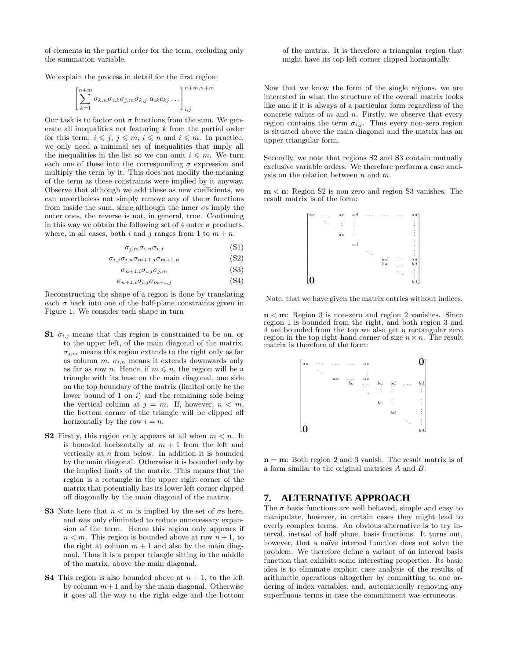of elements in the partial order for the term, excluding only the summation variable.

We explain the process in detail for the first region:

$$
\left[\sum_{k=1}^{n+m} \sigma_{k,n} \sigma_{i,k} \sigma_{j,m} \sigma_{k,j} a_{ik} c_{kj} \ldots \right]_{i,j}^{n+m,n+m}
$$

Our task is to factor out  $\sigma$  functions from the sum. We generate all inequalities not featuring  $k$  from the partial order for this term:  $i \leqslant j, j \leqslant m, i \leqslant n$  and  $i \leqslant m$ . In practice, we only need a minimal set of inequalities that imply all the inequalities in the list so we can omit  $i \leq m$ . We turn each one of these into the corresponding  $\sigma$  expression and multiply the term by it. This does not modify the meaning of the term as these constraints were implied by it anyway. Observe that although we add these as new coefficients, we can nevertheless not simply remove any of the  $\sigma$  functions from inside the sum, since although the inner  $\sigma s$  imply the outer ones, the reverse is not, in general, true. Continuing in this way we obtain the following set of 4 outer  $\sigma$  products, where, in all cases, both i and j ranges from 1 to  $m + n$ :

$$
\sigma_{j,m}\sigma_{i,n}\sigma_{i,j} \tag{S1}
$$

$$
\sigma_{i,j}\sigma_{i,n}\sigma_{m+1,j}\sigma_{m+1,n} \tag{S2}
$$

$$
\sigma_{n+1,i}\sigma_{i,j}\sigma_{j,m} \tag{S3}
$$

 $\sigma_{n+1,i}\sigma_{i,j}\sigma_{m+1,j}$  (S4)

Reconstructing the shape of a region is done by translating each  $\sigma$  back into one of the half-plane constraints given in Figure 1. We consider each shape in turn

- **S1**  $\sigma_{i,j}$  means that this region is constrained to be on, or to the upper left, of the main diagonal of the matrix.  $\sigma_{i,m}$  means this region extends to the right only as far as column m,  $\sigma_{i,n}$  means it extends downwards only as far as row *n*. Hence, if  $m \leq n$ , the region will be a triangle with its base on the main diagonal, one side on the top boundary of the matrix (limited only be the lower bound of 1 on  $i$ ) and the remaining side being the vertical column at  $j = m$ . If, however,  $n < m$ , the bottom corner of the triangle will be clipped off horizontally by the row  $i = n$ .
- **S2** Firstly, this region only appears at all when  $m < n$ . It is bounded horizontally at  $m + 1$  from the left and vertically at n from below. In addition it is bounded by the main diagonal. Otherwise it is bounded only by the implied limits of the matrix. This means that the region is a rectangle in the upper right corner of the matrix that potentially has its lower left corner clipped off diagonally by the main diagonal of the matrix.
- **S3** Note here that  $n < m$  is implied by the set of  $\sigma s$  here, and was only eliminated to reduce unnecessary expansion of the term. Hence this region only appears if  $n < m$ . This region is bounded above at row  $n + 1$ , to the right at column  $m + 1$  and also by the main diagonal. Thus it is a proper triangle sitting in the middle of the matrix, above the main diagonal.
- **S4** This region is also bounded above at  $n + 1$ , to the left by column  $m+1$  and by the main diagonal. Otherwise it goes all the way to the right edge and the bottom

of the matrix. It is therefore a triangular region that might have its top left corner clipped horizontally.

Now that we know the form of the single regions, we are interested in what the structure of the overall matrix looks like and if it is always of a particular form regardless of the concrete values of  $m$  and  $n$ . Firstly, we observe that every region contains the term  $\sigma_{i,j}$ . Thus every non-zero region is situated above the main diagonal and the matrix has an upper triangular form.

Secondly, we note that regions S2 and S3 contain mutually exclusive variable orders: We therefore perform a case analysis on the relation between  $n$  and  $m$ .

**m** < **n**: Region S2 is non-zero and region S3 vanishes. The result matrix is of the form:



Note, that we have given the matrix entries without indices.

**n** < **m**: Region 3 is non-zero and region 2 vanishes. Since region 1 is bounded from the right, and both region 3 and 4 are bounded from the top we also get a rectangular zero region in the top right-hand corner of size  $n \times n$ . The result matrix is therefore of the form:



**n** = **m**: Both region 2 and 3 vanish. The result matrix is of a form similar to the original matrices A and B.

#### **7. ALTERNATIVE APPROACH**

The  $\sigma$  basis functions are well behaved, simple and easy to manipulate, however, in certain cases they might lead to overly complex terms. An obvious alternative is to try interval, instead of half plane, basis functions. It turns out, however, that a naïve interval function does not solve the problem. We therefore define a variant of an interval basis function that exhibits some interesting properties. Its basic idea is to eliminate explicit case analysis of the results of arithmetic operations altogether by committing to one ordering of index variables, and, automatically removing any superfluous terms in case the commitment was erroneous.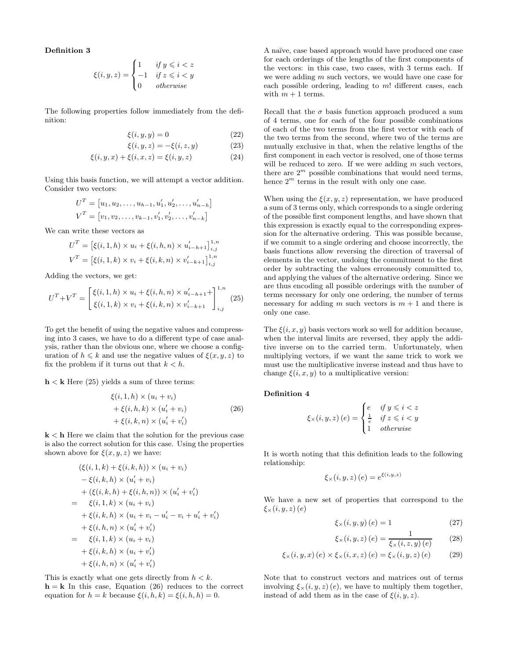**Definition 3**

$$
\xi(i, y, z) = \begin{cases} 1 & \text{if } y \leq i < z \\ -1 & \text{if } z \leq i < y \\ 0 & \text{otherwise} \end{cases}
$$

The following properties follow immediately from the definition:

$$
\xi(i, y, y) = 0 \tag{22}
$$

$$
\xi(i, y, z) = -\xi(i, z, y) \tag{23}
$$

$$
\xi(i, y, x) + \xi(i, x, z) = \xi(i, y, z)
$$
 (24)

Using this basis function, we will attempt a vector addition. Consider two vectors:

$$
UT = [u1, u2,..., uh-1, u'1, u'2,..., u'n-h]
$$
  

$$
VT = [v1, v2,..., vk-1, v'1, v'2,..., v'n-k]
$$

We can write these vectors as

$$
U^T = \left[ \xi(i, 1, h) \times u_i + \xi(i, h, n) \times u'_{i-h+1} \right]_{i,j}^{1,n}
$$
  

$$
V^T = \left[ \xi(i, 1, k) \times v_i + \xi(i, k, n) \times v'_{i-k+1} \right]_{i,j}^{1,n}
$$

Adding the vectors, we get:

$$
U^T + V^T = \begin{bmatrix} \xi(i, 1, h) \times u_i + \xi(i, h, n) \times u'_{i-h+1} + \\ \xi(i, 1, k) \times v_i + \xi(i, k, n) \times v'_{i-k+1} \end{bmatrix}_{i,j}^{1,n}
$$
(25)

To get the benefit of using the negative values and compressing into 3 cases, we have to do a different type of case analysis, rather than the obvious one, where we choose a configuration of  $h \leq k$  and use the negative values of  $\xi(x, y, z)$  to fix the problem if it turns out that  $k < h$ .

 $h < k$  Here (25) yields a sum of three terms:

$$
\xi(i,1,h) \times (u_i + v_i)
$$
  
+ 
$$
\xi(i,h,k) \times (u'_i + v_i)
$$
  
+ 
$$
\xi(i,k,n) \times (u'_i + v'_i)
$$
 (26)

**k** < **h** Here we claim that the solution for the previous case is also the correct solution for this case. Using the properties shown above for  $\xi(x, y, z)$  we have:

$$
(\xi(i, 1, k) + \xi(i, k, h)) \times (u_i + v_i)
$$
  
\n
$$
- \xi(i, k, h) \times (u'_i + v_i)
$$
  
\n
$$
+ (\xi(i, k, h) + \xi(i, h, n)) \times (u'_i + v'_i)
$$
  
\n
$$
= \xi(i, 1, k) \times (u_i + v_i)
$$
  
\n
$$
+ \xi(i, k, h) \times (u_i + v_i - u'_i - v_i + u'_i + v'_i)
$$
  
\n
$$
+ \xi(i, h, n) \times (u'_i + v'_i)
$$
  
\n
$$
= \xi(i, 1, k) \times (u_i + v_i)
$$
  
\n
$$
+ \xi(i, k, h) \times (u_i + v'_i)
$$
  
\n
$$
+ \xi(i, h, n) \times (u'_i + v'_i)
$$

This is exactly what one gets directly from  $h < k$ .  $h = k$  In this case, Equation (26) reduces to the correct equation for  $h = k$  because  $\xi(i, h, k) = \xi(i, h, h) = 0$ .

A naïve, case based approach would have produced one case for each orderings of the lengths of the first components of the vectors: in this case, two cases, with 3 terms each. If we were adding m such vectors, we would have one case for each possible ordering, leading to  $m!$  different cases, each with  $m + 1$  terms.

Recall that the  $\sigma$  basis function approach produced a sum of 4 terms, one for each of the four possible combinations of each of the two terms from the first vector with each of the two terms from the second, where two of the terms are mutually exclusive in that, when the relative lengths of the first component in each vector is resolved, one of those terms will be reduced to zero. If we were adding  $m$  such vectors, there are  $2<sup>m</sup>$  possible combinations that would need terms, hence  $2^m$  terms in the result with only one case.

When using the  $\xi(x, y, z)$  representation, we have produced a sum of 3 terms only, which corresponds to a single ordering of the possible first component lengths, and have shown that this expression is exactly equal to the corresponding expression for the alternative ordering. This was possible because, if we commit to a single ordering and choose incorrectly, the basis functions allow reversing the direction of traversal of elements in the vector, undoing the commitment to the first order by subtracting the values erroneously committed to, and applying the values of the alternative ordering. Since we are thus encoding all possible orderings with the number of terms necessary for only one ordering, the number of terms necessary for adding m such vectors is  $m + 1$  and there is only one case.

The  $\xi(i, x, y)$  basis vectors work so well for addition because, when the interval limits are reversed, they apply the additive inverse on to the carried term. Unfortunately, when multiplying vectors, if we want the same trick to work we must use the multiplicative inverse instead and thus have to change  $\xi(i, x, y)$  to a multiplicative version:

#### **Definition 4**

$$
\xi_{\times}(i, y, z) (e) = \begin{cases} e & \text{if } y \leq i < z \\ \frac{1}{e} & \text{if } z \leq i < y \\ 1 & \text{otherwise} \end{cases}
$$

It is worth noting that this definition leads to the following relationship:

$$
\xi_{\times}(i,y,z)(e) = e^{\xi(i,y,z)}
$$

We have a new set of properties that correspond to the  $\xi_{\times}(i, y, z)$   $(e)$ 

$$
\xi_{\times}(i, y, y) (e) = 1 \tag{27}
$$

$$
\xi_{\times}(i, y, z) (e) = \frac{1}{\xi_{\times}(i, z, y) (e)} \qquad (28)
$$

$$
\xi_{\times}(i, y, x) (e) \times \xi_{\times}(i, x, z) (e) = \xi_{\times}(i, y, z) (e)
$$
 (29)

Note that to construct vectors and matrices out of terms involving  $\xi_{\times}(i, y, z)$  (e), we have to multiply them together, instead of add them as in the case of  $\xi(i, y, z)$ .